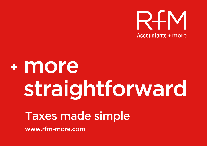

# + more straightforward

## **Taxes made simple**

www.rfm-more.com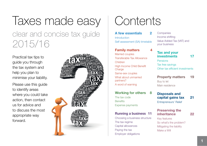## Taxes made easy clear and concise tax guide 2015/16

Practical tax tips to guide you through the tax system and help you plan to minimise your liability. Please use this guide to identify areas where you could take action, then contact us for advice and to discuss the most appropriate way forward.



## **Contents**

| <b>A</b> few essentials<br>2   |  |
|--------------------------------|--|
| Introduction                   |  |
| Self assessment (SA) timetable |  |

#### **Family matters**

Married couples Transferable Tax Allowance Children High Income Child Benefit **Charge** Same-sex couples What about unmarried partners? A word of warning

#### **Working for others 8**

The tax code **Benefits** Expense payments

#### **Running a business 11**

Choosing a business structure The tax regime Capital allowances Paying the tax Employer obligations

**Companies** Income shifting Value Added Tax (VAT) and your business

### **Tax and your investments 17**

**Pensions** Tax free savings Other tax efficient investments

**Property matters 19** Buy to let Main residence

#### **Disposals and capital gains tax 21** Entrepreneurs' Relief

## **Preserving the inheritance 22**

Key features So what's the problem? Mitigating the liability Make a Will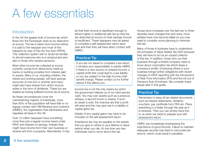## A few essentials

## **Introduction**

In the UK the greater bulk of income tax which flows into the Exchequer does so by deduction at source. The tax is taken from income before it is paid to the taxpayer and most of this happens by way of Pay-As-You-Earn (PAYE). This collection system will no doubt be familiar to almost everyone who is in employment and also to those who receive pensions.

Most other income tax collected at source currently comes from deductions made by banks or building societies from interest paid to savers. Many of us, including children, the retired and working people, will have savings accounts of one sort or another and many might also have shares from which income arises in the form of dividends. These too are treated as having suffered income tax at source.

As these circumstances cover the overwhelming majority of individuals, more than 80% of the population will have little or no regular contact with HM Revenue and Customs (HMRC), the organisation that administers and regulates all taxes in the UK.

Over 10 million taxpayers have something more than just a regular income taxed under PAYE and interest on savings. Instead they might have income from their own business or receive rent from a property. Alternatively, it may be that their income is significant enough to attract higher or additional rate tax so that the tax deducted at source on their savings income is insufficient. These taxpayers may be asked to complete a self assessment return each year and then they will have direct contact with HMRC.

## Practical Tip

If you are not asked to complete a tax return, it remains your responsibility to advise HMRC if there is a new source of untaxed income, a capital profit that could lead to a tax liability or you are subject to the high income child benefit charge. Please contact us for further advice if this affects you.

Income tax is not the only means by which the government relieves us of our hard earned cash. You may own assets such as a precious antique, a second home or shares. If such an asset is sold, the chances are that a profit will arise and this may give rise to a liability to capital gains tax.

Details of any capital gains may have to be included on the self assessment return.

Inheritance tax may be payable on the assets that you give to others in your lifetime or leave behind when you die. At one time very few individuals had to worry about this tax.

House price increases over the last two to three decades have changed this and many more estates have now become liable so you may need to consider some planning to minimise this tax.

Many of those in business have to understand the principles of Value Added Tax (VAT) because they will have to act as an unpaid collector of this tax. In addition, those who run their business through a limited company need to know about corporation tax which taxes a company's profits. Employing others in your business brings further obligations with recent changes to PAYE reporting with the introduction of Real Time Information (RTI) and the roll out of Pensions Auto Enrolment. We consider these issues later in this guide.

## Practical Tip

Remember to keep all tax related documents such as interest statements, dividend vouchers, pay certificate form P60 etc. Place everything in a folder through the year as it is received. Then you can simply hand this to us when we need to prepare your self assessment return.

HMRC are increasingly emphasising the importance of good records. Failure to maintain adequate records may lead to inaccurate tax returns, which could result in penalties.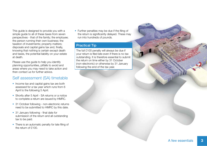This guide is designed to provide you with a simple guide to all of these taxes from seven perspectives - that of the family; the employee; the person running their own business; the taxation of investments; property matters; disposals and capital gains tax and, finally, knowing that nothing is certain except death and taxes, the potential liability on your estate at death.

Please use the guide to help you identify planning opportunities, pitfalls to avoid and areas where you may need to take action and then contact us for further advice.

## Self assessment (SA) timetable

- Income tax and capital gains tax are both assessed for a tax year which runs from 6 April to the following 5 April.
- Shortly after 5 April SA returns or a notice to complete a return are issued by HMRC.
- 31 October following non-electronic returns need to be submitted to HMRC by this date.
- 31 January following final date for submission of the return and all outstanding tax to be paid.
- There is an automatic penalty for late filing of the return of £100.

• Further penalties may be due if the filing of the return is significantly delayed. These may run into hundreds of pounds.

## Practical Tip

The full £100 penalty will always be due if your return is filed late even if there is no tax outstanding. It is therefore essential to submit the return on time either by 31 October (non-electronic) or otherwise by 31 January following the end of the tax year.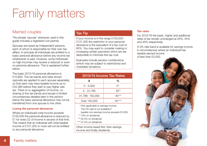## Family matters

## Married couples

The phrase 'spouse' whenever used in this guide includes a registered civil partner.

Spouses are taxed as independent persons, each of whom is responsible for their own tax affairs. In principle all individuals are entitled to a basic personal allowance before any income tax whatsoever is paid. However, some individuals on high incomes may receive a reduced or even no personal allowance. This is explained further below.

The basic 2015/16 personal allowance is £10,600. The tax bands and rates shown opposite are applied to each spouse separately, so that each may have taxable income up to £42,385 before they start to pay higher rate tax. There is no aggregation of income, no sharing of the tax bands and except in limited circumstances detailed later in this section below the basic personal allowance may not be transferred from one spouse to the other.

#### **Losing the personal allowance**

Where an individual's total income exceeds £100,000 the personal allowance is reduced by £1 for every £2 of income in excess of that limit. This means that an individual with total taxable income of £121,200 or more will not be entitled to any personal allowance.

#### Tax Tip

If your income is in the range £100,000 - £121,200 the restriction in your personal allowance is the equivalent of a tax cost of 60%. You may want to consider making or increasing certain payments which are tax deductible to minimise this tax cost.

Examples include pension contributions (which may be subject to restrictions) and charitable donations.

| 2015/16 Income Tax Rates |          |  |
|--------------------------|----------|--|
| £                        | %        |  |
| $0 - 5,000$              | ∩*       |  |
| $0 - 31.785$             | $20**$   |  |
| 31,786-150,000           | $4()***$ |  |
| Over 150,000             |          |  |

 \* Only applicable to savings income. The 0% rate is not available if

taxable non-savings income exceeds £5,000.

\*\* 10% on dividends

\*\*\* 32.5% on dividends

\*\*\*\* 37.5% on dividends

Other income taxed first, then savings income and finally dividends.

#### **Tax rates**

For 2015/16 the basic, higher and additional rates of tax remain unchanged at 20%, 40% and 45% respectively.

A 0% rate band is available for savings income in circumstances where an individual has taxable earned income of less than £5,000.

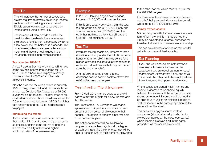## Tax Tip

This will increase the number of savers who are not required to pay tax on savings income, such as bank or building society interest. Eligible savers can register to receive their interest gross using a form R85.

The increase will also provide a useful tax break for director-shareholders who extract their share of profits from a company by taking a low salary and the balance in dividends. This is because dividends are taxed after savings income and thus are not included in the individual's 'taxable non-savings income'.

#### **Tax rates for 2016/17**

A new Personal Savings Allowance will remove some savings income from income tax, up to £1,000 of a basic rate taxpayer's savings income and up to £500 of a higher rate taxpayer's income.

Also the dividend tax credit, which is currently 10% of the grossed dividend, will be abolished and a new Dividend Tax Allowance of £5,000 a year will be introduced. The new rates of tax on dividend income above the allowance will be 7.5% for basic rate taxpayers, 32.5% for higher rate taxpayers and 38.1% for additional rate taxpayers.

#### **Minimising the tax bill**

It follows from the basic rules set out above that tax is minimised if spouses equalise, as far as possible, their income so that all personal allowances are fully utilised and higher/ additional rates of tax are minimised.

### Example

In 2015/16 Ian and Angela have savings income of £100,000 and no other income.

If this is split equally between them, the total tax bill for the couple is £16,806. If only one spouse has income of £100,000 and the other has nothing, the total tax bill leaps to £28,403 - an additional £11,597!

## Tax Tip

If you are feeling charitable, remember that a donation to charity under the Gift Aid scheme benefits from tax relief. It makes sense for a higher rate/additional rate taxpayer spouse to make such donations so that they can benefit from the extra tax relief.

Alternatively, in some circumstances, donations can be carried back to attract tax relief in the previous tax year.

## Transferable Tax Allowance

From 6 April 2015 married couples and civil partners may be eligible for a new Transferable Tax Allowance.

The Transferable Tax Allowance will enable spouses and civil partners to transfer a fixed amount of their personal allowance to their spouse. The option to transfer is not available to unmarried couples.

The option to transfer will be available to couples where neither pays tax at the higher or additional rate. If eligible, one partner will be able to transfer 10% of their personal allowance to the other partner which means £1,060 for the 2015/16 tax year.

For those couples where one person does not use all of their personal allowance the benefit will be up to £212 (20% of £1,060).

#### **Jointly owned assets**

Married couples will often own assets in some form of joint ownership. If they do not, then it may be advantageous for tax purposes for transfers to be made to ensure joint ownership.

This can have benefits for income tax, capital gains tax and even inheritance tax.

#### Tax Planning

If you and your spouse are both involved in running a business, income can be equalised if you are equal partners or equal shareholders. Alternatively, if only one of you is involved, the other could be employed even if only to use up their personal allowance.

Where assets are owned in joint names any income is deemed to be shared equally between the spouses. If the actual ownership shares are unequal, income is still deemed to be split equally unless an election is made to split the income in the same proportion as the ownership of the asset.

This does not apply to shares in close companies (almost all small, private, family owned companies will be close companies) where income is always split in the same proportion as the shares are owned.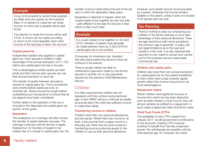#### Example

A buy to let property is owned three quarters by Helen and one quarter by her husband Mark. If no election is made the net rental income on which tax is payable will be split 50:50.

If an election is made the income will be split 75:25. A choice can be made according to which is the most desirable when other income of the spouses is taken into account.

#### **Capital gains tax**

Independent taxation also applies to capital gains tax. Each spouse is entitled to take advantage of the annual exemption of £11,100 before any capital gains tax has to be paid.

This is advantageous where assets are held jointly and then sold as each spouse can use their annual exemption to save tax.

The transfer of assets between spouses is neutral for capital gains tax. This is sometimes done shortly before assets are sold, to minimise tax. Advice should be sought before undertaking such transactions to ensure that all tax aspects have been considered.

Further detail on the operation of this tax is included in the disposals and capital gains tax section of this guide.

#### **Separation**

The breakdown of a marriage will often involve the transfer of assets between spouses. The marriage continues until the divorce is legally finalised but, for transfers of assets to be entirely free of a charge to capital gains tax, the transfer must be made before the end of the tax year in which the separation takes place.

Separation is deemed to happen when the couple cease to live together as man and wife - quite different to the date the divorce is final, which is often much later.

### Example

If a couple cease to live together on 30 April 2015, transfers of assets must generally be made between them by 5 April 2016 for capital gains tax to be avoided.

Conversely, for inheritance tax, transfers that take place before the divorce is final will continue to be exempt.

There is usually neither tax relief on maintenance payments made by one former spouse to another nor on any payments required by the statutory Child Maintenance Service.

## Children

It is often assumed that children are not taxpayers until they achieve some particular age. In fact HMRC will tax a child just as readily as anyone else if the child has sufficient income to make them liable.

#### **Transferring income to children**

Children have their own personal allowances and tax bands. Where their only income is, at best, a few pounds from a paper round or a Saturday job, there may be some scope for transferring income producing assets to the children to use up their personal allowance.

However, such assets should not be provided by a parent, otherwise the income remains taxable on the parent, unless it does not exceed £100 (gross) each tax year.

## Tax Planning

There is nothing to stop you employing your children in the family business so as to take advantage of their personal allowance. There are age restrictions (with some exceptions the minimum age is generally 13 years old) and legal limitations as to the type and duration of the work. It is also essential that payment is only made for actual work carried out for the business and at a reasonable commercial rate.

#### **Children and capital gains**

Children also have their own annual exemption for capital gains tax so that assets transferred to them which have a bias towards capital growth rather than income may prove to be more advantageous.

#### **Repayment claims**

Where children have significant sources of income from which tax has been deducted, such as bank interest or trust income, they will almost certainly be entitled to a repayment. In such cases a repayment claim should be made.

#### **Child Trust Funds (CTFs)**

The availability of new CTFs ceased from January 2011, as did government contributions to the accounts. Existing CTFs however continue to benefit from tax free investment growth. No withdrawals are possible until the child reaches age 18. However, the child's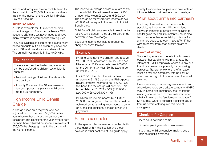friends and family are able to contribute up to the annual limit of £4,080. It is now possible to transfer the investment to a Junior Individual Savings Account.

#### **Junior ISA (JISA)**

A JISA is available for UK resident children under the age of 18 who do not have a CTF account. JISAs are tax advantaged and have many features in common with existing ISAs.

They are available as cash or stocks and share based products but a child can only have one cash JISA and one stocks and shares JISA. The annual investment is limited to £4,080.

## Tax Planning

There are some other limited ways income can be transferred to children tax efficiently such as:

- National Savings Children's Bonds which are tax free.
- Friendly Societies offer 10 year minimum, tax exempt savings plans for children for up to £25 per month.

## High Income Child Benefit Charge

A charge arises on a taxpayer who has adjusted net income over £50,000 in a tax year where either they or their partner are in receipt of Child Benefit for the year. Where both partners have adjusted net income in excess of £50,000 the charge applies to the partner with the higher income.

The income tax charge applies at a rate of 1% of the full Child Benefi t award for each £100 of income between £50,000 and £60,000. The charge on taxpayers with income above £60,000 will be equal to the amount of Child Benefit paid.

Child Benefit claimants are able to elect not to receive Child Benefit if they or their partner do not wish to pay the charge.

Equalising income can help to reduce the charge for some families.

## Example

Phil and Jane have two children and receive £1,770 Child Benefit for 2014/15. Jane has little income. Phil's income is over £60,000 for the 2014/15 tax year. So the tax charge on Phil is £1,770.

For 2015/16 the Child Benefit for two children amounts to £1,789 per annum. Phil expects his adjusted net income to be £55,000. On this basis the tax charge will be £895. This is calculated as £1,789 x 50% (£55,000 -  $£50,000 = £5,000/E100 \times 1\%$ 

If Phil can reduce his income by a further £5,000 no charge would arise. This could be achieved by transferring investments to Jane or by making additional pension or Gift Aid payments.

## Same-sex couples

All the special rules for married couples, both those dealt with in this section and those covered in other sections of this guide apply

equally to same-sex couples who have entered into a registered civil partnership or marriage.

## What about unmarried partners?

It still pays to equalise income as much as possible, as income tax will be minimised. However, transfers of assets may be liable to capital gains tax and, if substantial, could also lead to an inheritance tax liability. It is vital for unmarried couples to each make a Will if they wish to benefit from each other's estate at death.

#### **A word of warning**

Transferring assets or interests in a business between husband and wife may attract the interest of HMRC especially where it is obvious that it has been done primarily for tax saving purposes. Transfer of ownership of an asset must be real and complete, with no right of return and no right to the income on the asset given up.

If a non-working spouse is given shares in an otherwise one-person, private company, HMRC may, in some circumstances, seek to tax the working spouse on all of the dividends under what is known as the 'settlements legislation'. So you may want to consider obtaining advice from us before entering into this type of arrangement.

## Checklist for Couples

Try to equalise your income.

Consider placing assets in joint names.

If you have children consider making use of their personal allowances.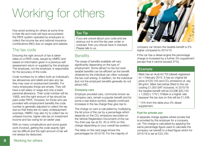## Working for others

Few avoid working for others at some time in their life and most will have encountered the PAYE system operated by employers to collect the income tax and national insurance contributions (NIC) due on wages and salaries.

## The tax code

Ensuring the right amount of tax is taken relies on a PAYE code, issued by HMRC and based on information given in a previous self assessment return or supplied by the employer. The employee, not the employer, is responsible for the accuracy of the code.

Code numbers try to reflect both an individual's tax allowances and reliefs and also any tax they may owe on employment benefits. For many employees things are simple. They will have a set salary or wage and only a basic personal allowance. Their code number will be 1060L and the right amount of tax should be paid under PAYE. However, for those who are provided with employment benefits the code number is generally adjusted to collect the tax due so that there are no nasty underpayment surprises. HMRC may also try to collect tax on untaxed income, higher rate tax on investment income and tax owing for an earlier year.

With so many complications and some quess work involved, getting the code exactly right can be difficult and the right amount of tax will not always be deducted.

#### Tax Tip

If you are unsure about your code and are anxious not to end the tax year under or overpaid, then you should have it checked. Please talk to us.

## **Benefits**

The range of benefits available will vary significantly depending on the type of employment. Some attract no tax but even taxable benefits can be efficient as the benefit obtained by the individual can often outweigh the tax cost arising. In addition, for the individual (but not the employer) benefits generally do not attract NIC.

#### **Company cars**

Employer provided cars, commonly known as company cars, remain a popular benefit and for some a real status symbol, despite continued increases in the tax charge they give rise to.

The charge on cars is calculated by multiplying the list price of the car by a percentage which depends on the  $CO<sub>2</sub>$  emissions (recorded on the Vehicle Registration Document) of the car. You then pay tax at 20, 40 or 45% on this charge depending on your overall tax position.

The table on the next page shows the percentages for 2015/16. For the majority of



company car drivers the taxable benefit is 2% higher compared to 2014/15.

If the car has a diesel engine the percentage charge is increased by a further 3% supplement (except that it cannot exceed 37%).

### Example

Mark has an Audi A3 TDI (diesel) registered on 1 February 2015. It has an original list price of £20,155 and CO<sub>2</sub> emissions of, say 99 g/km. Mark had extras fitted to the car costing £1,000 (VAT inclusive). In 2015/16 the taxable benefit will be £3,596 ([20,155  $+ 1.000$  x 17%\*). If Mark is a higher rate taxpayer the tax due on this will be £1,438.

\* 14% from the table plus 3% diesel supplement.

#### **Fuel for private use**

A separate charge applies where private fuel is provided by the employer for a company car. The charge is calculated by applying the same percentage figure used to calculate the company car benefit to a fixed figure which for 2015/16 is set at £22,100.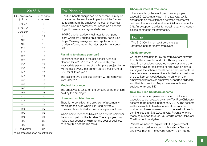#### 2015/16

| $CO2$ emissions<br>(g/km)          | % of car's<br>price taxed |  |
|------------------------------------|---------------------------|--|
|                                    |                           |  |
| 0 to $50*$                         | 5                         |  |
| 51 to 75*                          | 9                         |  |
| 76 to 94*                          | 13                        |  |
| 95                                 | 14                        |  |
| 100                                | 15                        |  |
| 105                                | 16                        |  |
| 110                                | 17                        |  |
| 115                                | 18                        |  |
| 120                                | 19                        |  |
| 125                                | 20                        |  |
| 130                                | 21                        |  |
| 135                                | 22                        |  |
| 140                                | 23                        |  |
| 145                                | 24                        |  |
| 150                                | 25                        |  |
| 155                                | 26                        |  |
| 160                                | 27                        |  |
| 165                                | 28                        |  |
| 170                                | 29                        |  |
| 175                                | 30                        |  |
| 180                                | 31                        |  |
| 185                                | 32                        |  |
| 190                                | 33                        |  |
| 195                                | 34                        |  |
| 200                                | 35                        |  |
| 205                                | 36                        |  |
| 210 and above                      | 37                        |  |
| round emissions down except where* |                           |  |

### Tax Planning

The fuel benefit charge can be expensive. It may be cheaper for the employee to pay for all the fuel and to reclaim from the employer the cost of business miles driven in a company car based on a specific log of business journeys undertaken.

HMRC publish advisory fuel rates for company cars which are updated on a quarterly basis. See https://www.gov.uk/government/publications/ advisory-fuel-rates for the latest position or contact us.

#### **Planning to change your car?**

Significant changes to the car benefit rules are planned for 2016/17 to 2018/19 whereby the appropriate percentages of the list price subject to tax will increase by 2% per annum up to a maximum of 37% for all three years.

The existing 3% diesel supplement will be removed from 2016/17.

#### **Medical insurance**

The employee is taxed on the amount of the premium paid by the employer.

#### **Home and mobile phones**

There is no benefit on the provision of a company mobile phone even where it is used privately. However, this is limited to one phone per employee.

Where home telephone bills are paid by the employer, the amount paid will be taxable. The employee may make a tax deduction claim for the cost of business calls only but not the line rental.

#### **Cheap or interest free loans**

If loans made by the employer to an employee exceed £10,000 at any point in a tax year, tax is chargeable on the difference between the interest paid and the interest due at an official rate - currently 3%. An exception applies for certain qualifying loans please contact us for information.

## Tax Tip

The £10,000 limit on tax free loans is an attractive perk for many employees.

#### **Childcare costs**

Childcare costs paid for by an employer are exempt from both income tax and NIC. This applies to a place in an employer operated nursery or where the employer pays for registered or approved childcare as long as the scheme meets certain requirements. In the latter case the exemption is limited to a maximum of up to £55 per week depending on when the employee first receives employer supported childcare and their tax position. Any excess amounts are subject to tax and NIC.

#### **New Tax-Free Childcare scheme**

The scheme for employer supported childcare is expected to be replaced by a new Tax-Free Childcare scheme to be phased in from early 2017. The scheme will be available to families where all parents are working and meet a minimum income level with each earning less than £150,000 a year. Parents who are receiving support through Tax Credits or the Universal Credit will not be eligible.

Parents will need to register with the government and open an online account with National Savings and Investments. The government will then 'top up'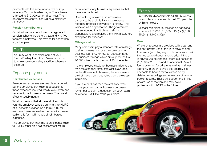payments into this account at a rate of 20p for every 80p that families pay in. The scheme is limited to £10,000 per child per year. The government's contribution will be a maximum of £2,000.

#### **Pension Contributions**

Contributions by an employer to a registered pension scheme are generally tax and NIC free for most employees. This may be far better than any other perk.

### Tax Tip

You may want to sacrifice some of your 'normal' salary to do this. Please talk to us to make sure your salary sacrifice scheme is effective.

## Expense payments

#### **Reimbursed expenses**

Reimbursed expenses are taxable as a benefit but the employee can claim a deduction for those expenses incurred wholly, exclusively and necessarily for business purposes. The overall effect is usually neutral.

What happens is that at the end of each tax year the employer sends a summary, to HMRC, of all benefits provided on a form P11D for each employee. As well as the benefits covered earlier, this form will include all reimbursed expenses.

The employee can then make an expense claim to HMRC either on a self assessment return

or by letter for any business expenses so that these are not taxed.

Often nothing is taxable, so employers can ask to be excluded from the expense reporting process if they apply to HMRC. This is known as a dispensation. The government has announced that it plans to abolish dispensations and replace them with a statutory exemption for expenses.

#### **Mileage claims**

Many employers pay a standard rate of mileage to all employees who use their own cars for business journeys. HMRC set statutory rates for business mileage which are 45p for the first 10,000 miles in a tax year and 25p thereafter.

If the employee is paid for business miles at less than the statutory rates, tax relief is available on the difference. If, however, the employee is paid at more than these rates then the excess is taxable.

If you are paid less than the statutory rates to use your own car for business purposes remember to claim a deduction on your return or write to HMRC to make your claim.

#### Example

In 2015/16 Michael travels 14,100 business miles in his own car and is paid 32p per mile by his employer.

Michael can claim tax relief on an additional amount of £1,013 ((10,000 x 45p) + (4,100 x 25p)) - (14,100 x 32p).

#### **Vans**

Where employees are provided with a van and the only private use of this is to travel to and from work (including any incidental private use), then no taxable benefit should arise. If there is private use beyond this, there is a benefit of £3,150 for 2015/16 and an additional £594 if fuel is provided for private as well as business journeys. In order to avoid this charge, it is advisable to have a formal written policy, detailed mileage logs and make use of vehicle tracker records. These will support the limited private use of the van and may avoid problems with HMRC in the future.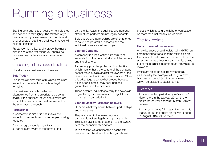## Running a business

Starting up a business of your own is a big step and not one to take lightly. The taxation of your business is only one of many commercial and legal aspects of starting a business that you will need to consider.

Preparation is the key and a proper business plan is one of the first things you should do. However, tax matters are our main concern here.

## Choosing a business structure

The alternative business structures are:

#### **Sole Trader**

This is the simplest form of business structure since it can be established without legal formality.

The business of a sole trader is not distinguished from the proprietor's personal affairs. If the business incurs debts which are unpaid, the creditors can seek repayment from the sole trader personally.

#### **Partnership**

A partnership is similar in nature to a sole trader but involves two or more people working together.

A written agreement is essential so that all partners are aware of the terms of the partnership. Again, the business and personal affairs of the partners are not legally separate.

Sole traders and partnerships are often referred to as unincorporated businesses and the individual owners as self-employed.

#### **Limited Company**

A company is a legal entity in its own right, separate from the personal affairs of the owners and the directors.

A company provides protection from liability, which means that the creditors of the company cannot make a claim against the owners or the directors except in limited circumstances. Often this advantage is somewhat eroded because a bank, for example, may seek personal guarantees from the directors.

These potential advantages carry the downside of greater legal requirements and regulations that must be complied with.

#### **Limited Liability Partnerships (LLPs)**

LLPs are a halfway house between partnerships and companies.

They are taxed in the same way as a partnership but are legally a corporate body. This again gives some protection to the owners from the partnership's creditors.

In this section we consider the differing tax treatments of the alternatives but you should choose which structure is right for you based on more than just the tax issues alone.

## The tax regime

#### **Unincorporated businesses**

A new business should register with HMRC on commencing to trade. Income tax is paid on the profits of the business. The amount that the proprietor, or a partner in a partnership, draws out of the business (referred to as 'drawings') is irrelevant.

Profits are taxed on a current year basis as shown by the example, although a new business will be subject to special rules, which we will be pleased to explain to you.

## Example

If the accounting period (or 'year') end is 31 March then, in the tax year 2015/16, the profits for the year ended 31 March 2016 will be taxed.

If the year end was 31 August then, in the tax year 2015/16, the profits for the year ended 31 August 2015 will be taxed.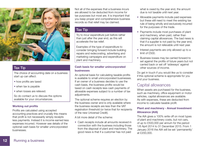

#### Tax Tip

The choice of accounting date on a business start up can affect:

- how profits are taxed
- when tax is payable
- when losses are relieved.

So do contact us to discuss the options available for your circumstances.

#### **Working out profits**

Profits are calculated using accepted accounting practices and crucially this means that profit is not necessarily simply receipts less payments. Instead it is income earned less expenses incurred. However see details of the optional cash basis for smaller unincorporated businesses.

Not all of the expenses that a business incurs are allowed to be deducted from income for tax purposes but most are. It is important that you keep proper and comprehensive business records so that relief may be claimed.

## Tax Tip

Try to incur expenditure just before rather than just after the year end, as this will accelerate the tax relief.

Examples of the type of expenditure to consider bringing forward include building repairs and redecorating, advertising and marketing campaigns and expenditure on plant and machinery.

#### **Cash basis for smaller unincorporated businesses**

An optional basis for calculating taxable profits is available to small unincorporated businesses. If an owner of a business decides to use the cash basis, the business profits would be taxed on cash receipts less cash payments of allowable expenses subject to a number of tax adiustments.

The optional scheme requires an election by the business owner and is only available where the business receipts are less than the VAT registration threshold (or twice that for recipients of the new Universal Credit).

A bit more detail of the scheme:

• Cash receipts include all amounts received in connection with the business including those from the disposal of plant and machinery. The good news is that if a customer has not paid

what is owed by the year end, the amount due is not taxable until next year.

- Allowable payments include paid expenses but these still need to meet the existing tax rule of being wholly and exclusively incurred for the purposes of the trade.
- Payments include most purchases of plant and machinery, when paid, rather than claiming capital allowances. The bad news is that if a supplier is not paid by the year end, the amount is not relievable until next year.
- Interest payments are only allowed up to a limit of £500.
- Business losses may be carried forward to set against the profits of future years but not carried back or set off 'sideways' against other sources of income.

Do get in touch if you would like us to consider if this optional scheme is appropriate for you and your business.

## Capital allowances

When assets are purchased for the business. such as machinery, office equipment or motor vehicles, capital allowances are available. As with expenses, these are deducted from income to calculate taxable profit.

#### **Plant and machinery - Annual Investment Allowance (AIA)**

The AIA gives a 100% write off on most types of plant and machinery costs, but not cars, of up to £500,000 per annum for the period 1/6 April 2014 to 31 December 2015. From 1 January 2016 the AIA will be set 'permanently' at £200,000.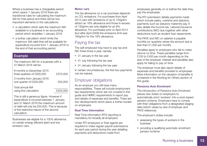Where a business has a chargeable period which spans 1 January 2016 there are transitional rules for calculating the maximum AIA for that period and there will be two important elements to the calculations:

- a calculation which sets the maximum AIA available to a business in an accounting period which straddles 1 January 2016
- a further calculation which limits the maximum AIA relief that will be available for expenditure incurred from 1 January 2016 to the end of that accounting period.

#### Example

The maximum AIA for a business with a 31 March 2016 will be: 9 months to December 2015 three quarters of £500,000 £375,000 3 months from January 2016 one quarter of £200,000 £50,000 Total annual AIA

using first calculation £425,000 This is still a generous figure. However if

expenditure is incurred between 1 January and 31 March 2016 the maximum amount of relief will only be £50,000. This is because of the restrictive nature of the second calculation.

Businesses are eligible for a 100% allowance, on certain energy efficient plant and low emission cars.

#### **Motor cars**

The tax allowance on a car purchase depends on CO<sub>2</sub> emissions. For purchases from April 2013 cars with emissions of up to 130g/km attract an 18% allowance and those in excess of 130g/km are only eligible for an 8% allowance. For purchases prior to April 2013 (but after April 2009) the emissions limit was 160g/km for the 18% allowance.

## Paying the tax

The self-employed may have to pay tax and NIC three times a year, namely:

- 31 January in the tax year
- 31 July following the tax year
- 31 January following the tax year.

In certain circumstances, the first two payments can be waived.

## Employer obligations

As an employer you will have many responsibilities. These will include employment law requirements which are not covered in this guide and HMRC requirements to report pay and details of expenses and benefits. There are two developments which place a further burden on employers.

#### **Real Time Information**

Real Time Information (RTI) reporting is mandatory for broadly all employers.

Under RTI employers or their agents are required to make regular payroll submissions for each pay period during the year detailing payments and deductions made from

employees generally on or before the date they pay the employees.

The RTI submission details payments made which include salary, overtime and statutory payments such as statutory maternity pay. It also details the income tax, national insurance contributions (NIC) due together with other deductions such as student loan repayments.

The PAYE and NIC on salaries is payable monthly (or quarterly where the amount due is less than £1,500 per month).

Penalties apply to employers who fail to make returns on time. These penalties range from £100 to £400 per month depending on the size of the employer. Interest and penalties also apply for failing to pay on time.

The employer must also report details of expenses and benefits provided to employees. More information on the valuation of benefits is contained in the Working for Others section of this quide.

#### **Pensions Auto Enrolment**

The introduction of Pensions Auto Enrolment places new duties on employers to automatically enrol 'workers' into a work based pension scheme. Employers have to comply with their obligations from a designated staging date (which varies by size of employer and PAYE reference).

The employer's duties include:

- assessing the types of workers in the business
- providing a qualifying automatic enrolment pension scheme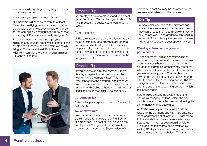- automatically enrolling all 'eligible jobholders' into the scheme
- and paying employer contributions.

All employers will need to contribute at least 3% of the 'qualifying pensionable earnings' for eligible jobholders. However, to help employers adjust, compulsory contributions will be phased in, starting at 1% before eventually rising to 3%.

If the employer only pays the employer's minimum contribution, employees' contributions will start at 1% of their salary, before eventually rising to 4%. An additional 1% in the form of tax relief will mean that there is an overall minimum 8% contribution rate.



## Practical Tip

All employers have to plan for and implement Auto Enrolment. We can help you to deal with this process and advise you of your staging date.

## **Companies**

Unlike sole traders and partnerships who pay tax on profits only (and drawings are ignored). companies have two layers of tax. The first is tax payable by directors and shareholders on money they take out of the company and the second is corporation tax which is due on the company's profits.

## Practical Tip

If you operate as a limited company, there is a legal separation between you as the owner and the company itself. This means you cannot use the company bank account as if it were your own! This requires a certain amount of discipline without which all kinds of legal and tax related difficulties can occur.

#### **Corporation Tax**

Companies pay corporation tax at 20% from 1 April 2015.

#### **Tax on 'drawings'**

Directors of a company will normally be paid a salary and this is taxed under PAYE as for all employees. The cost of this, including the employer's NIC, is generally an allowable expense of the company. Shareholders of the company in contrast may be rewarded by the payment of dividends on their shares.

## Tax Tip

In most small companies the directors and shareholders are one and the same and so they can choose the most tax efficient way to pay themselves. Using dividends can result in savings in NIC. This requires planning. Please talk to us to decide the best options for you.

#### **Warning - close company loans to participators**

A close company (which generally includes owner managed companies) is taxed in certain circumstances when it has made a loan or advance to individuals or their family members who have an interest or shares in the company (known as participators). The tax charge is 25% of the loan if it is outstanding nine months after the end of the accounting period. The tax charge is repaid to the company nine months after the end of the accounting period in which the loan is repaid.

Further rules prevent the avoidance of the charge by repaying the loan before the nine month date and then effectively withdrawing the same money shortly afterwards.

A '30 day rule' applies if at least £5,000 is repaid to the company and within 30 days new loans or advances of at least £5,000 are made to the shareholder. The old loan is effectively treated as if it has not been repaid. A further rule stops the tax charge being avoided by waiting 31 days before the company advances further funds to the shareholder. This is a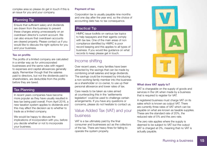complex area so please do get in touch if this is an issue for you and your company.

## Planning Tip

Ensure that sufficient salary and dividends are drawn from the business to prevent these charges arising unnecessarily on an overdrawn director's current account. We can also ensure that overdrawn accounts are cleared properly. Please contact us if you would like to discuss the right options for you and your business.

#### **Tax on profits**

The profits of a limited company are calculated in a similar way as for unincorporated businesses and the same rules with regard to expenses and capital allowances generally apply. Remember though that the salaries paid to directors, but not the dividends paid to shareholders, are deductible from the profits before they are taxed.

### Tax Planning

In recent years companies have become more popular as they have usually resulted in less tax being paid overall. From April 2016, a new taxation system applies to dividends and this may affect the decision as to whether to trade as a limited company.

We would be happy to discuss the implications of incorporation with you, before you decide whether or not to incorporate your business.

#### **Payment of tax**

Corporation tax is usually payable nine months and one day after the year end, so the choice of accounting date has no tax consequence.

## Practical Tip

HMRC issue toolkits on various tax topics to help taxpayers and their agents comply with tax law. One of the main areas of non compliance identified by HMRC is poor record keeping and this applies to all types of business. If you would like guidance on what records to keep please get in touch.

## Income shifting

Over recent years, many families have been attracted by the savings that can be made by combining small salaries and large dividends. The savings could be increased by introducing a non-working family member into the business as a shareholder or co-owner, to use up their personal allowance and lower rates of tax.

Care needs to be taken as rules aimed at counteracting this in the 'settlements legislation' could be used to challenge certain arrangements. If you have any questions or concerns, please do not hesitate to contact us.

## Value Added Tax (VAT) and your business

VAT is a tax ultimately paid by the final consumer and businesses act as the collectors of the tax. There are heavy fines for failing to operate the system properly.



#### **What does VAT apply to?**

VAT is chargeable on the supply of goods and services in the UK when made by a business that is required to register for VAT.

A registered business must charge VAT on its sales which is known as output VAT. There are currently three rates of VAT which can be payable on what are known as taxable supplies. These are the standard rate of 20%, the reduced rate of 5% and the zero rate.

The zero rate applies where the supply is deemed to be subject to VAT but the output VAT is charged at 0%, meaning that no VAT is actually payable.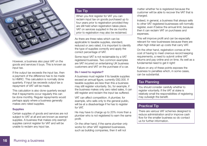

However, a business also pays VAT on the goods and services it buys. This is known as input tax.

If the output tax exceeds the input tax, then a payment of the difference has to be made to HMRC. This calculation is normally done quarterly. If input tax exceeds output tax a repayment of VAT will be made.

This calculation is also done quarterly except that if repayments occur regularly this can be done monthly. Regular repayments would perhaps apply where a business generally makes zero rated supplies.

#### **Supplies**

Certain supplies of goods and services are not subject to VAT at all and are known as exempt supplies. A business that makes only exempt supplies cannot register for VAT and will be unable to reclaim any input tax.

### Tax Tip

When you first register for VAT you can reclaim input tax on goods purchased up to four years prior to registration provided they are still held when registration takes place. VAT on services supplied in the six months prior to registration may also be reclaimed.

As there are three rates which can be applicable to taxable supplies, standard, reduced or zero rated, it is important to identify the type of supplies correctly and apply the correct percentage of VAT.

Some input VAT is not reclaimable by a VAT registered business. Two common examples are VAT incurred on entertaining UK business customers and VAT on the purchase of a car.

#### **Do I need to register?**

A business must register if its taxable supplies exceed an annual figure, currently £82,000. If taxable supplies are less than this a business may still register voluntarily. So, for example, if the business makes only zero rated sales, it can still register and reclaim the input tax suffered.

VAT can affect competition. A plumber, for example, who sells only to the general public, will be at a disadvantage if he has to register for VAT.

He may have to charge up to 20% more than a plumber who is not registered to earn the same profit.

On the other hand, if the same plumber only works for other VAT registered businesses. such as building companies, then it will not

matter whether he is registered because the customer will be able to recover the VAT that is charged.

Indeed, in general, a business that always sells to other VAT registered businesses will normally register, even if below the annual limit, because then it can reclaim VAT on purchases and expenses.

This will improve profit and can be especially relevant for new businesses because there are often high initial set up costs that carry VAT.

On the other hand, registration comes at the cost of having to meet onerous record keeping requirements, a need to submit online VAT returns and pay online and on time. As well as a fundamental need to get it right!

Failure on any of these points exposes the business to penalties which, in some cases, can be substantial.

#### Tax Planning

You should consider carefully whether to register voluntarily. If the VAT at stake is relatively small the responsibilities of registering may outweigh the benefit.

#### Practical Tip

There are various VAT schemes designed to reduce administration and/or improve cash flow for the smaller business so do contact us for further information.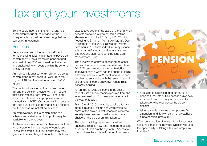## Tax and your investments

Setting aside income in the form of savings is important for us all, to provide for the unexpected or to build up a nest egg that we can enjoy in retirement.

## Pensions

Pensions are one of the most tax efficient forms of saving. Most higher rate taxpayers can contribute £100 to a registered pension fund at a cost of only £60 and investment income and capital gains will accrue within the scheme largely tax free.

An individual is entitled to tax relief on personal contributions in any given tax year up to the higher of 100% of earned income or £3,600 (gross).

The contributions are paid net of basic rate tax and the pension provider will then recover that basic rate tax from HMRC. Higher and additional rate relief, if appropriate, can be claimed from HMRC. Contributions in excess of the individual's limit can be made into a scheme but the excess will not attract tax relief.

An employer may make contributions to a scheme and a deduction from profits may be available to the employer.

As these reliefs are generous, there are controls which serve to limit high levels of contribution. These are complex but, put simply, they may give rise to a tax charge if annual contributions

exceed £40,000 or if the value of the fund when benefits are taken is greater than a lifetime allowance which, for 2015/16, is £1.25 million (reducing to £1 million from 6 April 2016). Due to changes to the annual allowance system from April 2016, some individuals may escape a tax charge if annual contributions are below £80,000 and significant contributions were made before 9 July.

The rules which apply to accessing personal pension funds have been amended from April 2015. These now allow for more flexibility. Taxpayers have always had the option of taking a tax free lump sum of 25% of fund value and purchasing an annuity with the remaining fund, or opting for income drawdown where limits generally applied.

An annuity is taxable income in the year of receipt. Similarly any monies received from the income drawdown fund are taxable income in the year of receipt.

From 6 April 2015, the ability to take a tax free lump sum and a lifetime annuity remains but some of the previous restrictions on a lifetime annuity have been removed allowing more choice on the type of annuity taken out.

The rules involving drawdown have been changed. There is now total freedom to access a pension fund from the age of 55. Access to the fund may be achieved in one of two ways:



- allocation of a pension fund (or part of a pension fund) into a 'flexi-access drawdown account' from which any amount can be taken over whatever period the person decides
- taking a single or series of lump sums from a pension fund (known as an 'uncrystallised funds pension lump sum').

When an allocation of funds into a flexi-access account is made the member typically will take the opportunity of taking a tax free lump sum from the fund.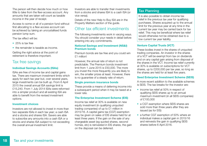The person will then decide how much or how little to take from the flexi-access account. Any amounts that are taken will count as taxable income in the year of receipt.

Access to some or all of a pension fund without first allocating to a flexi-access account can be achieved by taking an uncrystallised funds pension lump sum.

The tax effect will be:

- 25% is tax free
- the remainder is taxable as income.

Getting the right advice at the point of retirement is therefore important.

## Tax free savings

#### **Individual Savings Accounts (ISAs)**

ISAs are free of income tax and capital gains tax. There are maximum investment limits which apply for each tax year but, over several years, large investments can be built up. From 6 April 2015 the overall annual ISA savings limit is £15,240. From 1 July 2014 ISAs were reformed into a simpler product and all existing ISA are able to benefit from the revised investment options.

#### **Investment choices**

Investors are not allowed to invest in more than two separate ISAs in each tax year; a cash ISA and a stocks and shares ISA. Savers are able to subscribe any amounts into a cash ISA or a stocks and shares ISA subject to not exceeding the overall annual investment limit.

Investors are able to transfer their investments from a stocks and shares ISA to a cash ISA (or vice versa).

Details of the new Help to Buy ISA are in the Property Matters section of the guide.

## Other tax efficient investments

The following investments work in varying ways. You should consider your needs in detail before entering into any commitments.

#### **National Savings and Investment (NS&I) Premium bonds**

Premium bonds are tax free and you could win £1 million!

However, the annual rate of return is not predictable. The Premium bonds investment limit from 1 June 2015 is £50,000. The more you invest the more frequently you are likely to win, the smaller prizes at least. However, there is no guarantee of a steady rate of return.

#### **Single premium insurance bonds**

These provide a means of deferring income into a subsequent period when it may be taxed at a lower rate.

#### **The Enterprise Investment Scheme (EIS)**

Income tax relief at 30% is available on new equity investment (in qualifying unquoted trading companies) of up to £1 million in 2015/16. A capital gains tax (CGT) exemption may be given on sales of EIS shares held for at least three years. If the gain on the sale of any chargeable asset (eg quoted shares, second homes, etc) is reinvested in EIS shares, the gain on the disposal can be deferred.

## Tax Planning

It is also possible to obtain income tax relief in the previous tax year for qualifying purchases. Shares acquired up to the annual limit for the previous year at any time in the current tax year may be carried back for tax relief. This may be beneficial where tax relief would otherwise not be obtained due to a low current tax year liability.

#### **Venture Capital Trusts (VCT)**

These bodies invest in the shares of unquoted trading companies. An investor in the shares of a VCT will be exempt from tax on dividends and on any capital gain arising from disposal of the shares in the VCT. Income tax relief currently at 30% is available on subscriptions for VCT shares, up to £200,000 per tax year, so long as the shares are held for at least five years.

#### **Seed Enterprise Investment Scheme (SEIS)**

A more recent addition to the available schemes is SEIS. The tax breaks for the investor are:

- income tax relief at 50% in respect of qualifying SEIS shares up to an annual maximum investment (in all SEIS companies) of £100,000
- a CGT exemption where SEIS shares are sold more than three years after they are issued (as for EIS)
- a further CGT exemption of 50% where an individual makes a capital gain in 2015/16 and reinvests the gain in qualifying SEIS shares before 6 April 2016.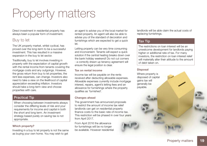## Property matters

Direct investment in residential property has always been a popular form of investment.

## Buy to let

The UK property market, whilst cyclical, has proved over the long-term to be a successful investment. This has resulted in a massive expansion in the buy to let sector.

Traditionally, buy to let involves investing in property with the expectation of capital growth with the rental income from tenants covering the mortgage costs and any outgoings. However, the gross return from buy to let properties, the rent less expenses, can change. Investors also need to take a view on the likelihood of capital appreciation exceeding inflation. Investors should take a long-term view and choose properties with care.

## Practical Tip

When choosing between investments always consider the differing levels of risk and your requirements for income and capital in both the short and long term. An investment strategy based purely on saving tax is not appropriate.

#### **Which property?**

Investing in a buy to let property is not the same as buying your own home. You may wish to get an agent to advise you of the local market for rented property. An agent will also be able to advise you of the standard of decoration and furnishings which are expected to get a quick let.

Letting property can be very time consuming and inconvenient. Tenants will expect a quick solution if the central heating breaks down over the bank holiday weekend! Do not cut corners - a correctly drawn up tenancy agreement will ensure the legal position is clear.

#### **Tax on rental income**

Income tax will be payable on the rents received after deducting allowable expenses. Allowable expenses currently include mortgage interest, repairs, agent's letting fees and an allowance for furnishings where the property qualifies as 'furnished'.

#### **Changes ahead**

The government has announced proposals to restrict the amount of income tax relief landlords can get on residential property finance costs to the basic rate of income tax. This restriction will be phased in over four years from April 2017.

From April 2016 the allowance for furnishings will be no longer be available. However residential landlords will be able claim the actual costs of replacing furnishings.

## Tax Tip

The restrictions on loan interest will be an unwelcome development for landlords paying higher or additional rate of tax. For many investors, the restriction on loan interest relief will materially alter their attitude to the amount of debt taken on.

#### **Disposal**

Where property is disposed of capital gains tax will generally be payable.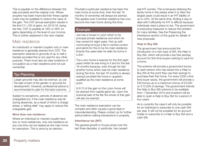This is payable on the difference between the sale proceeds and the original cost. Where property has been improved then these capital costs may be available to reduce the value of the gain. The CGT annual exemption results in the first £11,100 of gains, for 2015/16, being tax free. CGT is payable at 18% or 28% on gains depending on the level of your income. This is further explained in the next chapter.

## Main residence

An individual's or married couple's only or main residence is generally exempt from CGT. The exemption extends to grounds of up to half a hectare provided this is not used for any other purpose. There must also be clear evidence of occupation as a main residence and not just ownership.

#### Tax Planning

Larger grounds may also be exempt, as can the sale of part of the garden or grounds for development. However, professional advice is recommended to plan for the best outcome.

Subject to exceptions, periods of absence are chargeable but, if the main residence was let during absences, as a result of which a charge arises, a 'letting relief' may apply to reduce the chargeable gain.

#### **More than one residence**

Where an individual (or married couple) have two or more residences, only one residence at any one time can be treated as the main home for exemption. This is done by an election.

Provided a particular residence has been the main home at some time, then the last 18 months of ownership will always be exempt. This applies even if another residence has now become the main home during this time.

### Example

Joe has a house in Luton which is his principal private residence and which he has owned for eight years. Fed up with commuting he buys a flat in central London and elects for this to be his main residence. Exactly five years later he sells his home in Luton.

The Luton home is exempt for the first eight years whilst he was living in it and for the last 18 months because, even though he had another home which was his main residence during this time, the last 18 months is always exempt provided the home in question qualified as the main residence at some point.

9.5/13 of the gain on the Luton home will be exempt from capital gains tax. Upon the eventual sale of the flat the whole of that gain will also be exempt.

The main residence exemption can be complex and often causes a good deal of misunderstanding. Please contact us for further advice before making transactions in property.

#### **Inheritance tax (IHT)**

The general growth in house prices over the last three decades, in particular, has caused

real IHT worries. This is because retaining the family home in the estate when it is often the largest asset could result in an IHT liability of up to 40%. At the same time, finding a way to deal with it efficiently for IHT is difficult because individuals need a place to live. The government is proposing measures to reduce the problem for many families. See the Preserving the Inheritance section of this guide for details of new proposals.

#### **Help to Buy ISA**

The government has announced the introduction of a new type of ISA, the Help to Buy ISA, which will provide a tax free savings account for first time buyers wishing to save for a home.

The scheme will provide a government bonus to each person who has saved into a Help to Buy ISA at the point they use their savings to purchase their first home. For every £200 a first time buyer saves, the government will provide a £50 bonus up to a maximum bonus of £3,000 on £12,000 of savings. The government intends the Help to Buy ISA scheme to be available from 1 December 2015 and investors will be able to open a Help to Buy ISA for a period of four years.

As is currently the case it will only be possible for an individual to subscribe to one cash ISA per year. It will not be possible for an account holder to subscribe to a Help to Buy ISA and a cash ISA.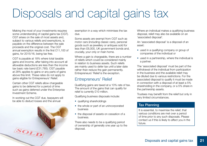## Disposals and capital gains tax

Making the most of your investments requires some understanding of capital gains tax (CGT). CGT arises on the sale of most assets and, subject to various reliefs and exemptions, is payable on the difference between the sale proceeds and the original cost. The CGT annual exemption results in the first £11,100 of gains, for 2015/16, being tax free.

CGT is payable at 18% where total taxable gains and income, after taking into account all allowable deductions are less than the income tax basic rate band (£31,785). CGT payable at 28% applies to gains or any parts of gains above this limit. These rates do not apply to gains eligible for Entrepreneurs' Relief.

Certain other CGT reliefs allow chargeable gains to be deferred for a period of time such as gains deferred under the Enterprise Investment Scheme.

In working out the CGT due, taxpayers will be able to deduct losses and the annual



exemption in a way which minimises the tax due.

Some assets are exempt from CGT such as motor cars (including classic cars), personal goods such as jewellery or antiques sold for less than £6,000, UK government bonds and, crucially, your only or main home.

Where a gain is chargeable, there are a number of reliefs which could be considered mainly in relation to business assets. Such reliefs are mainly used to defer tax until a later date rather than reduce the gain permanently. Entrepreneurs' Relief is the exception.

## Entrepreneurs' Relief

Qualifying gains are taxed at a 10% rate of tax. The amount of the gains that can qualify for relief is currently £10 million.

Qualifying business disposals include:

- qualifying shareholdings
- the whole or part of an unincorporated business
- the disposal of assets on cessation of a business.

There also needs to be a qualifying period of ownership of generally one year up to the disposal.

Where an individual makes a qualifying business disposal, relief may also be available on an 'associated disposal'.

An 'associated disposal' is a disposal of an asset:

- used in a qualifying company or group of companies of the individual or
- used in a partnership, where the individual is a partner.

The 'associated disposal' must be part of the withdrawal of the individual from participation in the business and the available relief may be diluted due to various restrictions. For the associated disposal to qualify it must be made in connection with a disposal of at least a 5% shareholding in the company, or a 5% share in the partnership assets.

Trustees may benefit from the relief but only in very limited circumstances.

## Tax Planning

It is essential, to maximise the relief, that various conditions are met over a period of time prior to any such disposals. Please contact us if this is likely to affect you in the future.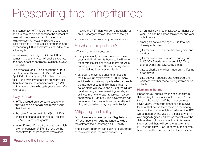## Preserving the inheritance

Inheritance tax (IHT) has some unique features and it is easy to collect because the authorities meet with least resistance. However, it is relatively easy for wealthy taxpayers to at least minimise it, if not avoid it altogether, and consequently IHT is sometimes referred to as a voluntary tax.

Nonetheless, planning to minimise IHT is something that many put off until it is too late and early attention to this tax is almost always worthwhile.

The threshold for IHT (also called the nil rate band) is currently frozen at £325,000 until 6 April 2021. Many estates fall within the charge to IHT and even if your assets are worth less than this you should consider making a Will so that you choose who gets your assets after your death.

## Key features:

- IHT is charged on a person's estate when they die and on certain gifts made during their lifetime
- the rate of tax on death is 40% and 20% on lifetime chargeable transfers. The first £325,000 is not chargeable
- many lifetime gifts are treated as 'potentially exempt transfers' (PETs). So long as the donor lives for at least seven years after

making the PET there will be no possibility of an IHT charge whatever the size of the gift

• there are numerous exemptions and reliefs.

## So what's the problem?

IHT is still a problem because:

- many are simply not in a position to make substantial lifetime gifts because it will leave them with insufficient capital to live on. As a consequence there is likely to be significant value retained in estates on death.
- although the average price of a house in the UK is currently below £325,000, many individuals do have a property which exceeds the average price and this means that the house alone will use up the bulk of the nil rate band and any excess remaining assets, such as investments and cash reserves, may be charged to IHT at 40%. The government has announced the introduction of an additional nil rate band which may help with this issue.

## Mitigating the liability

Do not waste your exemptions. Regularly using IHT exemptions will build up funds outside of the estate without incurring an IHT liability.

Spouses/civil partners can each take advantage of the exemptions, the main ones being:

- an annual allowance of £3,000 per donor per year. This can be carried forward for one year only if unused
- small gifts not exceeding £250 in total per donee per tax year
- gifts made out of income that are typical and habitual
- gifts made in consideration of marriage up to £5,000 if made by a parent, £2,500 by grandparents and £1,000 by others
- gifts to charities whether made during lifetime or on death
- gifts between spouses and registered civil partners, whether made during lifetime or on death.

#### **Planning in lifetime**

If possible you should make absolute gifts in lifetime. A gift to an individual will be a PET so there will be no liability if the donor survives seven years. Even if the donor fails to survive for all of that period there maybe a tax saving because the charge which will arise on the PET will be based on the value of the asset when it was originally gifted and not on the value at the date of death. If the value of the gift is below the threshold there will be no charge on the PET but the gift will use up some of the nil rate band on death. This means that there may be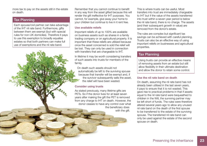more tax to pay on the assets still in the estate on death.

#### Tax Planning

Each spouse/civil partner can take advantage of the IHT nil rate band. Furthermore, gifts between them are exempt (but with special rules for non-UK domiciles). Therefore it pays to use this exemption to broadly equalise estates so that both partners can make full use of exemptions and the nil rate band.

Remember that you cannot continue to benefit in any way from the asset gifted because this will render the gift ineffective for IHT purposes. You cannot, for example, give away your home to your children but continue to live in it rent free.

#### **Use available reliefs**

Important reliefs of up to 100% are available on business assets such as shares in a family trading company or on agricultural property. It is important that these reliefs are utilised because once the asset concerned is sold the relief will be lost. They can only be used in connection with transfers that are chargeable to IHT.

In lifetime it may be worth considering transfers of such assets into trusts for members of the family.

On death such assets should not automatically be left to the surviving spouse because that transfer will be exempt and, if the survivor subsequently sells the asset, the relief will have been wasted.

#### **Consider using trusts**

As stated previously, many lifetime gifts are PETs. So if the donor lives for at least seven years after making the gift the PET is removed from any charge to IHT on death. However, the donor ceases to have any control over what the beneficiary does with the gift.

This is where trusts can be useful. Most transfers into trust are immediately chargeable to IHT but if the value of the assets transferred into trust within a seven year period is below the nil rate band, there is no charge. The assets (and their subsequent growth in value) are removed from the donor's estate.

The rules are complex but significant tax savings can be achieved with careful planning. Trusts can also be an effective way of using important reliefs on businesses and agricultural properties.

### Tax Planning

Using trusts can provide an effective means of removing assets from an estate but still allow flexibility in their ultimate destination and allow the donor to retain some control.

#### **Use the nil rate band on death**

On death, assuming the nil rate band has not already been utilised in the last seven years, it pays to ensure that it is not wasted. This gave rise to practical problems in that if assets equal to the nil rate band were bequeathed to children in the Will, the surviving partner may be left short of funds. The rules were therefore altered several years ago to allow any unused nil rate band on the death of the first spouse to be transferred to the estate of the surviving spouse. The transferred nil rate band can only be used against the estate of the second spouse on death.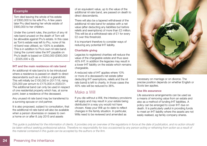#### Example

Tom died leaving the whole of his estate of £800,000 to his wife Pru. A few years later Pru died leaving her whole estate of £900,000 to her children.

Under the current rules, the portion of any nil rate band unused on the death of Tom will be allowable against Pru's estate. In this case as Tom's estate was left to Pru, none of his nil band was utilised, so 100% is available. This is in addition to Pru's own nil rate band. Using the current rates the IHT payable on Pru's death is based on £250,000 (£900,000 - [£325,000 x 2]).

#### **IHT and the main residence nil rate band**

An additional nil rate band is to be introduced where a residence is passed on death to direct descendants such as a child or a grandchild. This will initially be £100,000 in 2017/18, rising £25,000 per annum to £175,000 in 2020/21. The additional band can only be used in respect of one residential property which has, at some point, been a residence of the deceased.

Any unused nil rate band may be transferred to a surviving spouse or civil partner.

It is also proposed, subject to consultation, that the additional nil rate band will also be available when a person downsizes or ceases to own a home on or after 8 July 2015 and assets

of an equivalent value, up to the value of the additional nil rate band, are passed on death to direct descendants.

There will also be a tapered withdrawal of the additional nil rate band for estates with a net value (after deducting any liabilities but before reliefs and exemptions) of more than £2 million. This will be at a withdrawal rate of £1 for every £2 over this threshold.

It is important therefore to consider ways of reducing any potential IHT liability.

#### **Charitable giving**

Legacies to registered charities will reduce the value of the chargeable estate and thus save 40% IHT. In addition the legacies may result in a lower IHT liability on the estate which remains chargeable.

A reduced rate of IHT applies where 10% or more of a deceased's net estate (after deducting IHT exemptions, reliefs and the nil rate band) is left to charity. In those cases the 40% rate will be reduced to 36%.

## Make a Will

If you die without a Will, the intestacy provisions will apply and may result in your estate being distributed in a way you would not have chosen. Keep your Will up-to-date to reflect changes in the family situation. In particular, Wills need to be reviewed and amended as



necessary on marriage or on divorce. The precise position depends on whether English or Scots law applies.

#### **Use life assurance**

Life assurance arrangements can be used as a means of removing value from an estate and also as a method of funding IHT liabilities. A policy can be arranged to cover IHT due on death. It is particularly useful in providing funds to meet an IHT liability where the assets are not easily realised, eg family company shares.

*This guide is published for the information of clients. It provides only an overview of the regulations in force at the date of publication, and no action should*  be taken without seeking professional advice. Therefore no responsibility for loss occasioned by any person acting or refraining from action as a result of *the material contained in this guide can be accepted by the authors or the firm.*